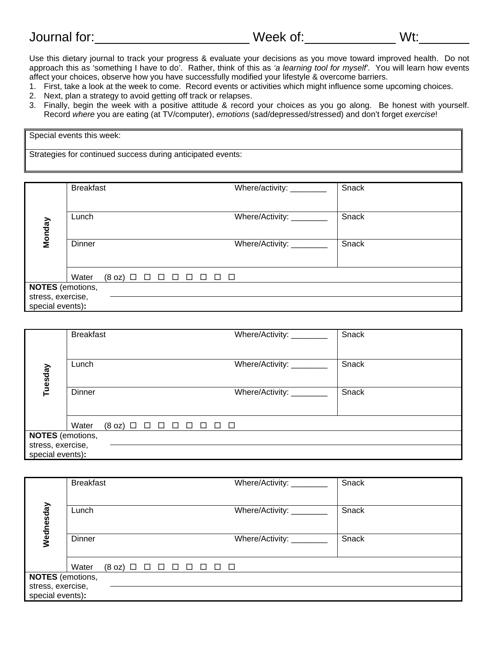| Journal for: | Week of: | . . |
|--------------|----------|-----|
|--------------|----------|-----|

Use this dietary journal to track your progress & evaluate your decisions as you move toward improved health. Do not approach this as 'something I have to do'. Rather, think of this as *'a learning tool for myself'*. You will learn how events affect your choices, observe how you have successfully modified your lifestyle & overcome barriers.

- 1. First, take a look at the week to come. Record events or activities which might influence some upcoming choices.
- 2. Next, plan a strategy to avoid getting off track or relapses.
- 3. Finally, begin the week with a positive attitude & record your choices as you go along. Be honest with yourself. Record *where* you are eating (at TV/computer), *emotions* (sad/depressed/stressed) and don't forget *exercise*!

| Special events this week:                                   |  |
|-------------------------------------------------------------|--|
| Strategies for continued success during anticipated events: |  |

|                         | <b>Breakfast</b>                                                           | Where/activity: ________  | Snack |
|-------------------------|----------------------------------------------------------------------------|---------------------------|-------|
|                         |                                                                            |                           |       |
| Monday                  | Lunch                                                                      | Where/Activity: ________  | Snack |
|                         | Dinner                                                                     | Where/Activity: _________ | Snack |
|                         | Water<br>$(8 \text{ oz})$ $\Box$ $\Box$ $\Box$ $\Box$ $\Box$ $\Box$ $\Box$ |                           |       |
| <b>NOTES</b> (emotions, |                                                                            |                           |       |
| stress, exercise,       |                                                                            |                           |       |
| special events):        |                                                                            |                           |       |

|                         | <b>Breakfast</b>                                                                             | Where/Activity: _______   | Snack |
|-------------------------|----------------------------------------------------------------------------------------------|---------------------------|-------|
|                         |                                                                                              |                           |       |
|                         | Lunch                                                                                        | Where/Activity: _________ | Snack |
| Tuesday                 |                                                                                              |                           |       |
|                         | Dinner                                                                                       | Where/Activity: ________  | Snack |
|                         |                                                                                              |                           |       |
|                         | Water<br>$(8 \text{ oz}) \square \square \square \square \square$<br>$\Box$<br>$\Box$ $\Box$ |                           |       |
| <b>NOTES</b> (emotions, |                                                                                              |                           |       |
|                         | stress, exercise,<br>special events):                                                        |                           |       |

|                                       | <b>Breakfast</b> | Where/Activity: ________                                          | Snack |
|---------------------------------------|------------------|-------------------------------------------------------------------|-------|
|                                       |                  |                                                                   |       |
| Wednesday                             | Lunch            | Where/Activity: ________                                          | Snack |
|                                       | Dinner           | Where/Activity: ________                                          | Snack |
|                                       | Water            | $(8 \text{ oz})$ $\Box$ $\Box$ $\Box$ $\Box$ $\Box$ $\Box$ $\Box$ |       |
| <b>NOTES</b> (emotions,               |                  |                                                                   |       |
| stress, exercise,<br>special events): |                  |                                                                   |       |